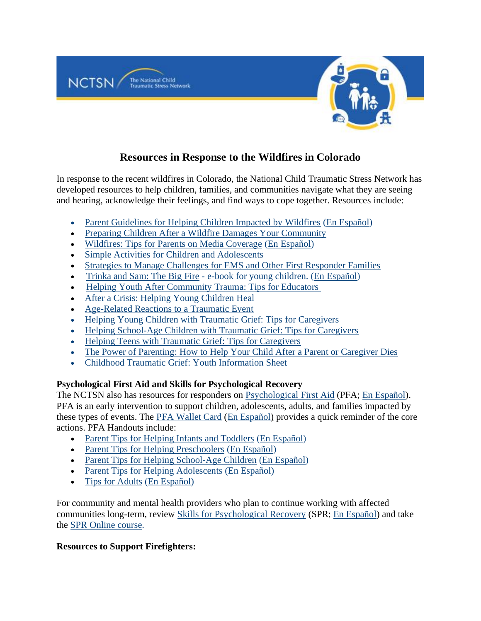

# **Resources in Response to the Wildfires in Colorado**

In response to the recent wildfires in Colorado, the National Child Traumatic Stress Network has developed resources to help children, families, and communities navigate what they are seeing and hearing, acknowledge their feelings, and find ways to cope together. Resources include:

- [Parent Guidelines for Helping Children Impacted by Wildfires](https://nam10.safelinks.protection.outlook.com/?url=https%3A%2F%2Furldefense.proofpoint.com%2Fv2%2Furl%3Fu%3Dhttps-3A__www.nctsn.org_resources_parent-2Dguidelines-2Dhelping-2Dchildren-2Dimpacted-2Dwildfires%26d%3DDwMFAw%26c%3DUXmaowRpu5bLSLEQRunJ2z-YIUZuUoa9Rw_x449Hd_Y%26r%3DhzomOGg2G27ZjuZegYWWfu4EgrpiGCT_JunBM07Lj7Q%26m%3DhYyW4LMTMiR-uC9EEblTtEJIuxpHI35JAovF_xxNCOI%26s%3DV5LWsrPcHrppttFijUieF8qgmnFQRJ_V8a4--tptrLg%26e%3D&data=04%7C01%7CRyan.Asherin%40childrenscolorado.org%7C226c617488bd449e7fed08d9ceebaaac%7Caf8d3786f13d43d5b752d893b9462e87%7C0%7C0%7C637768333864825900%7CUnknown%7CTWFpbGZsb3d8eyJWIjoiMC4wLjAwMDAiLCJQIjoiV2luMzIiLCJBTiI6Ik1haWwiLCJXVCI6Mn0%3D%7C3000&sdata=3beDTiDwprHRM4vxivTFiQw%2BFKpb8ZvcTjp46gvWbVk%3D&reserved=0) [\(En Español\)](https://nam10.safelinks.protection.outlook.com/?url=https%3A%2F%2Furldefense.proofpoint.com%2Fv2%2Furl%3Fu%3Dhttps-3A__www.nctsn.org_resources_guia-2Dpara-2Dpadres-2Dcon-2Dhijos-2Dque-2Dhan-2Dsido-2Dafectados-2Dpor-2Dincendios%26d%3DDwMFAw%26c%3DUXmaowRpu5bLSLEQRunJ2z-YIUZuUoa9Rw_x449Hd_Y%26r%3DhzomOGg2G27ZjuZegYWWfu4EgrpiGCT_JunBM07Lj7Q%26m%3DhYyW4LMTMiR-uC9EEblTtEJIuxpHI35JAovF_xxNCOI%26s%3DsbkQweCPK-k80h6p4syDT0HGN_8VNME-TTDaT6c3cvE%26e%3D&data=04%7C01%7CRyan.Asherin%40childrenscolorado.org%7C226c617488bd449e7fed08d9ceebaaac%7Caf8d3786f13d43d5b752d893b9462e87%7C0%7C0%7C637768333864825900%7CUnknown%7CTWFpbGZsb3d8eyJWIjoiMC4wLjAwMDAiLCJQIjoiV2luMzIiLCJBTiI6Ik1haWwiLCJXVCI6Mn0%3D%7C3000&sdata=gxHiy0nCVaO6IzDkJZSvUNHBY2pdeiBhqzy01M8eAp4%3D&reserved=0)
- [Preparing Children After a Wildfire Damages Your Community](https://nam10.safelinks.protection.outlook.com/?url=https%3A%2F%2Fwww.nctsn.org%2Fresources%2Fpreparing-children-after-a-wildfire-damages-your-community&data=04%7C01%7CRyan.Asherin%40childrenscolorado.org%7C226c617488bd449e7fed08d9ceebaaac%7Caf8d3786f13d43d5b752d893b9462e87%7C0%7C0%7C637768333864825900%7CUnknown%7CTWFpbGZsb3d8eyJWIjoiMC4wLjAwMDAiLCJQIjoiV2luMzIiLCJBTiI6Ik1haWwiLCJXVCI6Mn0%3D%7C3000&sdata=5LvJ8rYK8nOVWFASJIGdDnrQz5L9mRGOM28oA%2F1I12c%3D&reserved=0)
- [Wildfires: Tips for Parents on Media Coverage](https://nam10.safelinks.protection.outlook.com/?url=https%3A%2F%2Furldefense.proofpoint.com%2Fv2%2Furl%3Fu%3Dhttps-3A__www.nctsn.org_resources_wildfires-2Dtips-2Dparents-2Dmedia-2Dcoverage%26d%3DDwMFAw%26c%3DUXmaowRpu5bLSLEQRunJ2z-YIUZuUoa9Rw_x449Hd_Y%26r%3DhzomOGg2G27ZjuZegYWWfu4EgrpiGCT_JunBM07Lj7Q%26m%3DhYyW4LMTMiR-uC9EEblTtEJIuxpHI35JAovF_xxNCOI%26s%3DMpLkPtyApNvzeKCg_rTHw94JAPvRe3qInuZEj74JkSQ%26e%3D&data=04%7C01%7CRyan.Asherin%40childrenscolorado.org%7C226c617488bd449e7fed08d9ceebaaac%7Caf8d3786f13d43d5b752d893b9462e87%7C0%7C0%7C637768333864825900%7CUnknown%7CTWFpbGZsb3d8eyJWIjoiMC4wLjAwMDAiLCJQIjoiV2luMzIiLCJBTiI6Ik1haWwiLCJXVCI6Mn0%3D%7C3000&sdata=2Hsl9jcpaBcXVYNd%2FUKDD1c1mUIcw6vHrdMMpWAYmcI%3D&reserved=0) [\(En Español\)](https://nam10.safelinks.protection.outlook.com/?url=https%3A%2F%2Furldefense.proofpoint.com%2Fv2%2Furl%3Fu%3Dhttps-3A__www.nctsn.org_resources_los-2Dincendios-2Dy-2Dsu-2Dcobertura-2Den-2Dlas-2Dnoticias-2Drecomendaciones-2Dpara-2Dlos-2Dpadres%26d%3DDwMFAw%26c%3DUXmaowRpu5bLSLEQRunJ2z-YIUZuUoa9Rw_x449Hd_Y%26r%3DhzomOGg2G27ZjuZegYWWfu4EgrpiGCT_JunBM07Lj7Q%26m%3DhYyW4LMTMiR-uC9EEblTtEJIuxpHI35JAovF_xxNCOI%26s%3DikbZ-miA9fIobX963Tb0L5O6mz0M9sPbwGyBB1gtD5I%26e%3D&data=04%7C01%7CRyan.Asherin%40childrenscolorado.org%7C226c617488bd449e7fed08d9ceebaaac%7Caf8d3786f13d43d5b752d893b9462e87%7C0%7C0%7C637768333864825900%7CUnknown%7CTWFpbGZsb3d8eyJWIjoiMC4wLjAwMDAiLCJQIjoiV2luMzIiLCJBTiI6Ik1haWwiLCJXVCI6Mn0%3D%7C3000&sdata=SFZePIbpO7bkmUje%2F8r3Q4PtIXkynrE5EXTTxW7uTRE%3D&reserved=0)
- [Simple Activities for Children and Adolescents](https://nam10.safelinks.protection.outlook.com/?url=https%3A%2F%2Furldefense.proofpoint.com%2Fv2%2Furl%3Fu%3Dhttps-3A__www.nctsn.org_resources_simple-2Dactivities-2Dchildren-2Dand-2Dadolescents%26d%3DDwMFAw%26c%3DUXmaowRpu5bLSLEQRunJ2z-YIUZuUoa9Rw_x449Hd_Y%26r%3DhzomOGg2G27ZjuZegYWWfu4EgrpiGCT_JunBM07Lj7Q%26m%3DhYyW4LMTMiR-uC9EEblTtEJIuxpHI35JAovF_xxNCOI%26s%3DTav4RUvD7MEry0W7VVVfp730ITHWGFkf-4ER3r4x01o%26e%3D&data=04%7C01%7CRyan.Asherin%40childrenscolorado.org%7C226c617488bd449e7fed08d9ceebaaac%7Caf8d3786f13d43d5b752d893b9462e87%7C0%7C0%7C637768333864825900%7CUnknown%7CTWFpbGZsb3d8eyJWIjoiMC4wLjAwMDAiLCJQIjoiV2luMzIiLCJBTiI6Ik1haWwiLCJXVCI6Mn0%3D%7C3000&sdata=W8lVy2tVrm9XY2mFbMT8ScYCS7inSwXXaryx9vGx6O0%3D&reserved=0)
- [Strategies to Manage Challenges for EMS and Other First Responder Families](https://nam10.safelinks.protection.outlook.com/?url=https%3A%2F%2Furldefense.proofpoint.com%2Fv2%2Furl%3Fu%3Dhttps-3A__www.nctsn.org_resources_strategies-2Dmanage-2Dchallenges-2Dems-2Dfamilies%26d%3DDwMFAw%26c%3DUXmaowRpu5bLSLEQRunJ2z-YIUZuUoa9Rw_x449Hd_Y%26r%3DhzomOGg2G27ZjuZegYWWfu4EgrpiGCT_JunBM07Lj7Q%26m%3DhYyW4LMTMiR-uC9EEblTtEJIuxpHI35JAovF_xxNCOI%26s%3Ddbg_KuvCOIl8zWW2isK1F-nYpmrfOh9TzHu5TwWUooM%26e%3D&data=04%7C01%7CRyan.Asherin%40childrenscolorado.org%7C226c617488bd449e7fed08d9ceebaaac%7Caf8d3786f13d43d5b752d893b9462e87%7C0%7C0%7C637768333864825900%7CUnknown%7CTWFpbGZsb3d8eyJWIjoiMC4wLjAwMDAiLCJQIjoiV2luMzIiLCJBTiI6Ik1haWwiLCJXVCI6Mn0%3D%7C3000&sdata=snfcjGuQvvlxL0Vu37G%2BkA3w0WuAclV6rTtqQBsxAGQ%3D&reserved=0)
- [Trinka and Sam: The Big Fire](https://nam10.safelinks.protection.outlook.com/?url=https%3A%2F%2Furldefense.proofpoint.com%2Fv2%2Furl%3Fu%3Dhttps-3A__www.nctsn.org_resources_trinka-2Dand-2Dsam-2Dbig-2Dfire%26d%3DDwMFAw%26c%3DUXmaowRpu5bLSLEQRunJ2z-YIUZuUoa9Rw_x449Hd_Y%26r%3DhzomOGg2G27ZjuZegYWWfu4EgrpiGCT_JunBM07Lj7Q%26m%3DhYyW4LMTMiR-uC9EEblTtEJIuxpHI35JAovF_xxNCOI%26s%3Dbvw35j6sFhus4Lv2BkdX-edJAckD4RZNFHRMzlxJPIU%26e%3D&data=04%7C01%7CRyan.Asherin%40childrenscolorado.org%7C226c617488bd449e7fed08d9ceebaaac%7Caf8d3786f13d43d5b752d893b9462e87%7C0%7C0%7C637768333864982111%7CUnknown%7CTWFpbGZsb3d8eyJWIjoiMC4wLjAwMDAiLCJQIjoiV2luMzIiLCJBTiI6Ik1haWwiLCJXVCI6Mn0%3D%7C3000&sdata=80bv3%2BwlJ3KykqLsV4BX7Y18JbfOZUIqo5vJN8nHW6M%3D&reserved=0) e-book for young children. [\(En Español\)](https://nam10.safelinks.protection.outlook.com/?url=https%3A%2F%2Furldefense.proofpoint.com%2Fv2%2Furl%3Fu%3Dhttps-3A__www.nctsn.org_resources_trinka-2Dy-2Djuan-2Del-2Dgran-2Dfuego%26d%3DDwMFAw%26c%3DUXmaowRpu5bLSLEQRunJ2z-YIUZuUoa9Rw_x449Hd_Y%26r%3DhzomOGg2G27ZjuZegYWWfu4EgrpiGCT_JunBM07Lj7Q%26m%3DhYyW4LMTMiR-uC9EEblTtEJIuxpHI35JAovF_xxNCOI%26s%3Dhgxi3ToKx5I_mdfKt1IDQgw-EPdGfenDPLGp9i54WwE%26e%3D&data=04%7C01%7CRyan.Asherin%40childrenscolorado.org%7C226c617488bd449e7fed08d9ceebaaac%7Caf8d3786f13d43d5b752d893b9462e87%7C0%7C0%7C637768333864982111%7CUnknown%7CTWFpbGZsb3d8eyJWIjoiMC4wLjAwMDAiLCJQIjoiV2luMzIiLCJBTiI6Ik1haWwiLCJXVCI6Mn0%3D%7C3000&sdata=bht2ock2pHmpVUWIF6ebIJKXJnhfoPKGceKJEUyjzhY%3D&reserved=0)
- [Helping Youth After Community Trauma: Tips for Educators](https://nam10.safelinks.protection.outlook.com/?url=https%3A%2F%2Furldefense.proofpoint.com%2Fv2%2Furl%3Fu%3Dhttps-3A__www.nctsn.org_resources_helping-2Dyouth-2Dafter-2Dcommunity-2Dtrauma-2Dtips-2Deducators%26d%3DDwMFAw%26c%3DUXmaowRpu5bLSLEQRunJ2z-YIUZuUoa9Rw_x449Hd_Y%26r%3DhzomOGg2G27ZjuZegYWWfu4EgrpiGCT_JunBM07Lj7Q%26m%3DhYyW4LMTMiR-uC9EEblTtEJIuxpHI35JAovF_xxNCOI%26s%3D1Gz2ez9_JRGzATFk-9KV2X2f8DGIgU8nYVCy6mDOj3g%26e%3D&data=04%7C01%7CRyan.Asherin%40childrenscolorado.org%7C226c617488bd449e7fed08d9ceebaaac%7Caf8d3786f13d43d5b752d893b9462e87%7C0%7C0%7C637768333864982111%7CUnknown%7CTWFpbGZsb3d8eyJWIjoiMC4wLjAwMDAiLCJQIjoiV2luMzIiLCJBTiI6Ik1haWwiLCJXVCI6Mn0%3D%7C3000&sdata=Dyo9k73xc89ABiZzKMoGP2yXn3O9%2F2qNCpY2dIkjcAE%3D&reserved=0)
- [After a Crisis: Helping Young Children](https://nam10.safelinks.protection.outlook.com/?url=https%3A%2F%2Furldefense.proofpoint.com%2Fv2%2Furl%3Fu%3Dhttps-3A__www.nctsn.org_resources_after-2Dcrisis-2Dhelping-2Dyoung-2Dchildren-2Dheal%26d%3DDwMFAw%26c%3DUXmaowRpu5bLSLEQRunJ2z-YIUZuUoa9Rw_x449Hd_Y%26r%3DhzomOGg2G27ZjuZegYWWfu4EgrpiGCT_JunBM07Lj7Q%26m%3DhYyW4LMTMiR-uC9EEblTtEJIuxpHI35JAovF_xxNCOI%26s%3DZv-1oVShXbc7TtXTtW1sET1E2aWIaNh6QI1a0IXaQlc%26e%3D&data=04%7C01%7CRyan.Asherin%40childrenscolorado.org%7C226c617488bd449e7fed08d9ceebaaac%7Caf8d3786f13d43d5b752d893b9462e87%7C0%7C0%7C637768333864982111%7CUnknown%7CTWFpbGZsb3d8eyJWIjoiMC4wLjAwMDAiLCJQIjoiV2luMzIiLCJBTiI6Ik1haWwiLCJXVCI6Mn0%3D%7C3000&sdata=ER%2FZNEqk5Lpu1w8mGRFKN2EtgUioB%2BXLcInDwjVp2N8%3D&reserved=0) Heal
- [Age-Related Reactions to a Traumatic Event](https://nam10.safelinks.protection.outlook.com/?url=https%3A%2F%2Furldefense.proofpoint.com%2Fv2%2Furl%3Fu%3Dhttps-3A__www.nctsn.org_resources_age-2Drelated-2Dreactions-2Dtraumatic-2Devent%26d%3DDwMFAw%26c%3DUXmaowRpu5bLSLEQRunJ2z-YIUZuUoa9Rw_x449Hd_Y%26r%3DhzomOGg2G27ZjuZegYWWfu4EgrpiGCT_JunBM07Lj7Q%26m%3DhYyW4LMTMiR-uC9EEblTtEJIuxpHI35JAovF_xxNCOI%26s%3DkVGCaHTOmm0b3W0oLAYRp2i0erChTa1HaWNVe6StRNs%26e%3D&data=04%7C01%7CRyan.Asherin%40childrenscolorado.org%7C226c617488bd449e7fed08d9ceebaaac%7Caf8d3786f13d43d5b752d893b9462e87%7C0%7C0%7C637768333864982111%7CUnknown%7CTWFpbGZsb3d8eyJWIjoiMC4wLjAwMDAiLCJQIjoiV2luMzIiLCJBTiI6Ik1haWwiLCJXVCI6Mn0%3D%7C3000&sdata=0644%2B6TGJWABmsuLL2euOPcMn2cMwLAog6LcUN2ImVs%3D&reserved=0)
- [Helping Young Children with Traumatic Grief: Tips for Caregivers](https://nam10.safelinks.protection.outlook.com/?url=https%3A%2F%2Furldefense.proofpoint.com%2Fv2%2Furl%3Fu%3Dhttps-3A__www.nctsn.org_resources_helping-2Dyoung-2Dchildren-2Dtraumatic-2Dgrief-2Dtips-2Dcaregivers%26d%3DDwMFAg%26c%3DUXmaowRpu5bLSLEQRunJ2z-YIUZuUoa9Rw_x449Hd_Y%26r%3DhzomOGg2G27ZjuZegYWWfu4EgrpiGCT_JunBM07Lj7Q%26m%3D4EJJIQXN3G-cu2YrEEN3np1qViU81Dw3cLLIj6-JuCY%26s%3Di1VHFf816_cO5-wIi1Z0t3DYzrsgfW5PF0fBCw98S6I%26e%3D&data=04%7C01%7CRyan.Asherin%40childrenscolorado.org%7C226c617488bd449e7fed08d9ceebaaac%7Caf8d3786f13d43d5b752d893b9462e87%7C0%7C0%7C637768333864982111%7CUnknown%7CTWFpbGZsb3d8eyJWIjoiMC4wLjAwMDAiLCJQIjoiV2luMzIiLCJBTiI6Ik1haWwiLCJXVCI6Mn0%3D%7C3000&sdata=k93t%2FcNLlHjP0bVZDd38QRDC%2BfstXGQAV45BmiE%2B4PQ%3D&reserved=0)
- [Helping School-Age Children with Traumatic Grief: Tips for Caregivers](https://nam10.safelinks.protection.outlook.com/?url=https%3A%2F%2Furldefense.proofpoint.com%2Fv2%2Furl%3Fu%3Dhttps-3A__www.nctsn.org_resources_helping-2Dschool-2Dage-2Dchildren-2Dtraumatic-2Dgrief-2Dtips-2Dcaregivers%26d%3DDwMFAg%26c%3DUXmaowRpu5bLSLEQRunJ2z-YIUZuUoa9Rw_x449Hd_Y%26r%3DhzomOGg2G27ZjuZegYWWfu4EgrpiGCT_JunBM07Lj7Q%26m%3D4EJJIQXN3G-cu2YrEEN3np1qViU81Dw3cLLIj6-JuCY%26s%3DBk_ezMZDyEvi3l-piAiPUPUvnhM4MV14nEiEJibuzf0%26e%3D&data=04%7C01%7CRyan.Asherin%40childrenscolorado.org%7C226c617488bd449e7fed08d9ceebaaac%7Caf8d3786f13d43d5b752d893b9462e87%7C0%7C0%7C637768333864982111%7CUnknown%7CTWFpbGZsb3d8eyJWIjoiMC4wLjAwMDAiLCJQIjoiV2luMzIiLCJBTiI6Ik1haWwiLCJXVCI6Mn0%3D%7C3000&sdata=FWAdhMKtddTrwOUrCFcSaY621Ebiu50g31phKLQNnss%3D&reserved=0)
- [Helping Teens with Traumatic Grief: Tips for Caregivers](https://nam10.safelinks.protection.outlook.com/?url=https%3A%2F%2Furldefense.proofpoint.com%2Fv2%2Furl%3Fu%3Dhttps-3A__www.nctsn.org_resources_helping-2Dteens-2Dtraumatic-2Dgrief-2Dtips-2Dcaregivers%26d%3DDwMFAg%26c%3DUXmaowRpu5bLSLEQRunJ2z-YIUZuUoa9Rw_x449Hd_Y%26r%3DhzomOGg2G27ZjuZegYWWfu4EgrpiGCT_JunBM07Lj7Q%26m%3D4EJJIQXN3G-cu2YrEEN3np1qViU81Dw3cLLIj6-JuCY%26s%3DJZ3QOx53Db-HEMsKAjltdjfXTMoRyAEyc2aTF-5oMMo%26e%3D&data=04%7C01%7CRyan.Asherin%40childrenscolorado.org%7C226c617488bd449e7fed08d9ceebaaac%7Caf8d3786f13d43d5b752d893b9462e87%7C0%7C0%7C637768333864982111%7CUnknown%7CTWFpbGZsb3d8eyJWIjoiMC4wLjAwMDAiLCJQIjoiV2luMzIiLCJBTiI6Ik1haWwiLCJXVCI6Mn0%3D%7C3000&sdata=YlzwBMec4g6Zgyoro%2FjRR2oqPTpNvSjeRtTcpc5iu7A%3D&reserved=0)
- [The Power of Parenting: How to Help Your Child After a Parent or Caregiver Dies](https://nam10.safelinks.protection.outlook.com/?url=https%3A%2F%2Furldefense.proofpoint.com%2Fv2%2Furl%3Fu%3Dhttps-3A__www.nctsn.org_resources_power-2Dof-2Dparenting-2Dhow-2Dto-2Dhelp-2Dyour-2Dchild-2Dafter-2Da-2Dparent-2Dor-2Dcaregiver-2Ddies%26d%3DDwMFAg%26c%3DUXmaowRpu5bLSLEQRunJ2z-YIUZuUoa9Rw_x449Hd_Y%26r%3DhzomOGg2G27ZjuZegYWWfu4EgrpiGCT_JunBM07Lj7Q%26m%3D4EJJIQXN3G-cu2YrEEN3np1qViU81Dw3cLLIj6-JuCY%26s%3DlPppR7bFTqvvfnMmbz8Ux7pz_Gmx-AJR7mtlDIa0LEc%26e%3D&data=04%7C01%7CRyan.Asherin%40childrenscolorado.org%7C226c617488bd449e7fed08d9ceebaaac%7Caf8d3786f13d43d5b752d893b9462e87%7C0%7C0%7C637768333864982111%7CUnknown%7CTWFpbGZsb3d8eyJWIjoiMC4wLjAwMDAiLCJQIjoiV2luMzIiLCJBTiI6Ik1haWwiLCJXVCI6Mn0%3D%7C3000&sdata=NrxTbk5DeBX1Zb%2FclPxWw3qcu%2F7eOkmxyPvo2qefkeM%3D&reserved=0)
- [Childhood Traumatic Grief: Youth Information Sheet](https://nam10.safelinks.protection.outlook.com/?url=https%3A%2F%2Fwww.nctsn.org%2Fresources%2Fchildhood-traumatic-grief-youth-information-sheet&data=04%7C01%7CRyan.Asherin%40childrenscolorado.org%7C226c617488bd449e7fed08d9ceebaaac%7Caf8d3786f13d43d5b752d893b9462e87%7C0%7C0%7C637768333864982111%7CUnknown%7CTWFpbGZsb3d8eyJWIjoiMC4wLjAwMDAiLCJQIjoiV2luMzIiLCJBTiI6Ik1haWwiLCJXVCI6Mn0%3D%7C3000&sdata=%2BWEhrmKhZwWyu3k1KNbTUGozpqTaysiZU5F0wnwy5bs%3D&reserved=0)

## **Psychological First Aid and Skills for Psychological Recovery**

The NCTSN also has resources for responders on [Psychological First Aid](https://nam10.safelinks.protection.outlook.com/?url=https%3A%2F%2Fwww.nctsn.org%2Fresources%2Fpsychological-first-aid-pfa-field-operations-guide-2nd-edition&data=04%7C01%7CRyan.Asherin%40childrenscolorado.org%7C226c617488bd449e7fed08d9ceebaaac%7Caf8d3786f13d43d5b752d893b9462e87%7C0%7C0%7C637768333864982111%7CUnknown%7CTWFpbGZsb3d8eyJWIjoiMC4wLjAwMDAiLCJQIjoiV2luMzIiLCJBTiI6Ik1haWwiLCJXVCI6Mn0%3D%7C3000&sdata=jdpvdZeAkmxUNyFJkuahCLCj%2BrMh8OzLQeDf1mrxVVo%3D&reserved=0) (PFA; En [Español\)](https://nam10.safelinks.protection.outlook.com/?url=https%3A%2F%2Fwww.nctsn.org%2Fresources%2Fprimeros-auxilios-psicologicos-guia-de-operaciones-practicas-2da-edicion&data=04%7C01%7CRyan.Asherin%40childrenscolorado.org%7C226c617488bd449e7fed08d9ceebaaac%7Caf8d3786f13d43d5b752d893b9462e87%7C0%7C0%7C637768333864982111%7CUnknown%7CTWFpbGZsb3d8eyJWIjoiMC4wLjAwMDAiLCJQIjoiV2luMzIiLCJBTiI6Ik1haWwiLCJXVCI6Mn0%3D%7C3000&sdata=dI00yvZS%2BI0dmuquSTAj2eY7SwBSo7nSVxy%2FHe3V1QU%3D&reserved=0). PFA is an early intervention to support children, adolescents, adults, and families impacted by these types of events. The [PFA Wallet Card](https://nam10.safelinks.protection.outlook.com/?url=https%3A%2F%2Fwww.nctsn.org%2Fresources%2Fpsychological-first-aid-pfa-wallet-card&data=04%7C01%7CRyan.Asherin%40childrenscolorado.org%7C226c617488bd449e7fed08d9ceebaaac%7Caf8d3786f13d43d5b752d893b9462e87%7C0%7C0%7C637768333864982111%7CUnknown%7CTWFpbGZsb3d8eyJWIjoiMC4wLjAwMDAiLCJQIjoiV2luMzIiLCJBTiI6Ik1haWwiLCJXVCI6Mn0%3D%7C3000&sdata=z2kB24o9uiL88tVl5qNlOrEtIDt2b%2B5RxsGoIUcmreM%3D&reserved=0) [\(En Español\)](https://nam10.safelinks.protection.outlook.com/?url=https%3A%2F%2Fwww.nctsn.org%2Fresources%2Fpsychological-first-aid-pfa-wallet-card-sp&data=04%7C01%7CRyan.Asherin%40childrenscolorado.org%7C226c617488bd449e7fed08d9ceebaaac%7Caf8d3786f13d43d5b752d893b9462e87%7C0%7C0%7C637768333864982111%7CUnknown%7CTWFpbGZsb3d8eyJWIjoiMC4wLjAwMDAiLCJQIjoiV2luMzIiLCJBTiI6Ik1haWwiLCJXVCI6Mn0%3D%7C3000&sdata=NCxKAiMUalN%2FOVPLfiC%2FWx%2FYOVlinRhiIyJ7tUAeHwg%3D&reserved=0) provides a quick reminder of the core actions. PFA Handouts include:

- [Parent Tips for Helping Infants and Toddlers](https://nam10.safelinks.protection.outlook.com/?url=https%3A%2F%2Furldefense.proofpoint.com%2Fv2%2Furl%3Fu%3Dhttps-3A__www.nctsn.org_resources_pfa-2Dparent-2Dtips-2Dhelping-2Dinfants-2Dand-2Dtoddlers-2Dafter-2Ddisasters%26d%3DDwMFAw%26c%3DUXmaowRpu5bLSLEQRunJ2z-YIUZuUoa9Rw_x449Hd_Y%26r%3DhzomOGg2G27ZjuZegYWWfu4EgrpiGCT_JunBM07Lj7Q%26m%3DhYyW4LMTMiR-uC9EEblTtEJIuxpHI35JAovF_xxNCOI%26s%3DJrXiF8h90Jus2UqHDLzK48UMdMBPhTPqCx-HZ6QzJlg%26e%3D&data=04%7C01%7CRyan.Asherin%40childrenscolorado.org%7C226c617488bd449e7fed08d9ceebaaac%7Caf8d3786f13d43d5b752d893b9462e87%7C0%7C0%7C637768333864982111%7CUnknown%7CTWFpbGZsb3d8eyJWIjoiMC4wLjAwMDAiLCJQIjoiV2luMzIiLCJBTiI6Ik1haWwiLCJXVCI6Mn0%3D%7C3000&sdata=xPkgbA19BCjk7B6sQelhAr9Xa8GlI3in3lmZNQXOV8k%3D&reserved=0) [\(En Español\)](https://nam10.safelinks.protection.outlook.com/?url=https%3A%2F%2Furldefense.proofpoint.com%2Fv2%2Furl%3Fu%3Dhttps-3A__www.nctsn.org_resources_pfa-2Dconsejos-2Dpara-2Dpadres-2Dcomo-2Dayudar-2Dbebes-2Dy-2Dninos-2Dpequenos%26d%3DDwMFAw%26c%3DUXmaowRpu5bLSLEQRunJ2z-YIUZuUoa9Rw_x449Hd_Y%26r%3DhzomOGg2G27ZjuZegYWWfu4EgrpiGCT_JunBM07Lj7Q%26m%3DhYyW4LMTMiR-uC9EEblTtEJIuxpHI35JAovF_xxNCOI%26s%3DwLRlmaiV0laSXN90I-yRFz5waSQCcYX0AEXT1kAvyvA%26e%3D&data=04%7C01%7CRyan.Asherin%40childrenscolorado.org%7C226c617488bd449e7fed08d9ceebaaac%7Caf8d3786f13d43d5b752d893b9462e87%7C0%7C0%7C637768333864982111%7CUnknown%7CTWFpbGZsb3d8eyJWIjoiMC4wLjAwMDAiLCJQIjoiV2luMzIiLCJBTiI6Ik1haWwiLCJXVCI6Mn0%3D%7C3000&sdata=5SxQITXpBE5tfLFUWbwQToA6K5Ete%2FPHnLT%2BxmwTgPY%3D&reserved=0)
- [Parent Tips for Helping Preschoolers](https://nam10.safelinks.protection.outlook.com/?url=https%3A%2F%2Furldefense.proofpoint.com%2Fv2%2Furl%3Fu%3Dhttps-3A__www.nctsn.org_resources_pfa-2Dparent-2Dtips-2Dhelping-2Dpreschool-2Dage-2Dchildren-2Dafter-2Ddisasters%26d%3DDwMFAw%26c%3DUXmaowRpu5bLSLEQRunJ2z-YIUZuUoa9Rw_x449Hd_Y%26r%3DhzomOGg2G27ZjuZegYWWfu4EgrpiGCT_JunBM07Lj7Q%26m%3DhYyW4LMTMiR-uC9EEblTtEJIuxpHI35JAovF_xxNCOI%26s%3DvzcmN7zEq_u1UAsT1jqcyLsPVOPqh7yhzpkKG4__m1s%26e%3D&data=04%7C01%7CRyan.Asherin%40childrenscolorado.org%7C226c617488bd449e7fed08d9ceebaaac%7Caf8d3786f13d43d5b752d893b9462e87%7C0%7C0%7C637768333864982111%7CUnknown%7CTWFpbGZsb3d8eyJWIjoiMC4wLjAwMDAiLCJQIjoiV2luMzIiLCJBTiI6Ik1haWwiLCJXVCI6Mn0%3D%7C3000&sdata=6660zetNGxm4IN%2BAQIWZYIHMEeFdPeE4Byc5PLNk%2B%2Bw%3D&reserved=0) [\(En Español\)](https://nam10.safelinks.protection.outlook.com/?url=https%3A%2F%2Furldefense.proofpoint.com%2Fv2%2Furl%3Fu%3Dhttps-3A__www.nctsn.org_resources_pfa-2Dconsejos-2Dpara-2Dpadres-2Dcomo-2Dayudar-2Dninos-2Dde-2Dedad-2Dpreescolar%26d%3DDwMFAw%26c%3DUXmaowRpu5bLSLEQRunJ2z-YIUZuUoa9Rw_x449Hd_Y%26r%3DhzomOGg2G27ZjuZegYWWfu4EgrpiGCT_JunBM07Lj7Q%26m%3DhYyW4LMTMiR-uC9EEblTtEJIuxpHI35JAovF_xxNCOI%26s%3Dm_m18T23RKe_CjsRgv4RUe88rFMfkhZnbR_daUV18ng%26e%3D&data=04%7C01%7CRyan.Asherin%40childrenscolorado.org%7C226c617488bd449e7fed08d9ceebaaac%7Caf8d3786f13d43d5b752d893b9462e87%7C0%7C0%7C637768333864982111%7CUnknown%7CTWFpbGZsb3d8eyJWIjoiMC4wLjAwMDAiLCJQIjoiV2luMzIiLCJBTiI6Ik1haWwiLCJXVCI6Mn0%3D%7C3000&sdata=2ew4yqSWiYztbbNCSgWDUJSTqcQPd0tltTIoMBUG0XU%3D&reserved=0)
- [Parent Tips for Helping School-Age Children](https://nam10.safelinks.protection.outlook.com/?url=https%3A%2F%2Furldefense.proofpoint.com%2Fv2%2Furl%3Fu%3Dhttps-3A__www.nctsn.org_resources_pfa-2Dparent-2Dtips-2Dhelping-2Dschool-2Dage-2Dchildren-2Dafter-2Ddisasters%26d%3DDwMFAw%26c%3DUXmaowRpu5bLSLEQRunJ2z-YIUZuUoa9Rw_x449Hd_Y%26r%3DhzomOGg2G27ZjuZegYWWfu4EgrpiGCT_JunBM07Lj7Q%26m%3DhYyW4LMTMiR-uC9EEblTtEJIuxpHI35JAovF_xxNCOI%26s%3DmDIm0iUVkxiRXLGEfkOlF4PJVLNYd8rkPSva9A_S4Xg%26e%3D&data=04%7C01%7CRyan.Asherin%40childrenscolorado.org%7C226c617488bd449e7fed08d9ceebaaac%7Caf8d3786f13d43d5b752d893b9462e87%7C0%7C0%7C637768333864982111%7CUnknown%7CTWFpbGZsb3d8eyJWIjoiMC4wLjAwMDAiLCJQIjoiV2luMzIiLCJBTiI6Ik1haWwiLCJXVCI6Mn0%3D%7C3000&sdata=DcWzYdi4nEq5OvP%2FRLKRbLfHMKzfbkLongVbD4jLHJs%3D&reserved=0) [\(En Español\)](https://nam10.safelinks.protection.outlook.com/?url=https%3A%2F%2Furldefense.proofpoint.com%2Fv2%2Furl%3Fu%3Dhttps-3A__www.nctsn.org_resources_pfa-2Dconsejos-2Dpara-2Dpadres-2Dcomo-2Dayudar-2Dninos-2Dde-2Dedad-2Descolar%26d%3DDwMFAw%26c%3DUXmaowRpu5bLSLEQRunJ2z-YIUZuUoa9Rw_x449Hd_Y%26r%3DhzomOGg2G27ZjuZegYWWfu4EgrpiGCT_JunBM07Lj7Q%26m%3DhYyW4LMTMiR-uC9EEblTtEJIuxpHI35JAovF_xxNCOI%26s%3DQ5x2Bvnnp7_a0xkB01DeGbf9KM1HDHkYTMfzgxOHvvU%26e%3D&data=04%7C01%7CRyan.Asherin%40childrenscolorado.org%7C226c617488bd449e7fed08d9ceebaaac%7Caf8d3786f13d43d5b752d893b9462e87%7C0%7C0%7C637768333864982111%7CUnknown%7CTWFpbGZsb3d8eyJWIjoiMC4wLjAwMDAiLCJQIjoiV2luMzIiLCJBTiI6Ik1haWwiLCJXVCI6Mn0%3D%7C3000&sdata=k%2B3WVDxWx%2FHiOy%2BdSkzO2mqSC79pPyKeirkAu9VG4J8%3D&reserved=0)
- [Parent Tips for Helping Adolescents](https://nam10.safelinks.protection.outlook.com/?url=https%3A%2F%2Furldefense.proofpoint.com%2Fv2%2Furl%3Fu%3Dhttps-3A__www.nctsn.org_resources_pfa-2Dparent-2Dtips-2Dhelping-2Dadolescents%26d%3DDwMFAw%26c%3DUXmaowRpu5bLSLEQRunJ2z-YIUZuUoa9Rw_x449Hd_Y%26r%3DhzomOGg2G27ZjuZegYWWfu4EgrpiGCT_JunBM07Lj7Q%26m%3DhYyW4LMTMiR-uC9EEblTtEJIuxpHI35JAovF_xxNCOI%26s%3Dk0J4XGg0Y7k7ELz2bh9WZ4IGjH44Kcr55PGg0SdG3CQ%26e%3D&data=04%7C01%7CRyan.Asherin%40childrenscolorado.org%7C226c617488bd449e7fed08d9ceebaaac%7Caf8d3786f13d43d5b752d893b9462e87%7C0%7C0%7C637768333864982111%7CUnknown%7CTWFpbGZsb3d8eyJWIjoiMC4wLjAwMDAiLCJQIjoiV2luMzIiLCJBTiI6Ik1haWwiLCJXVCI6Mn0%3D%7C3000&sdata=VW2bLheLI3DBu7dg8NQE5Vn0MIcCwZTY4J1ri6lZO1Y%3D&reserved=0) [\(En Español\)](https://nam10.safelinks.protection.outlook.com/?url=https%3A%2F%2Furldefense.proofpoint.com%2Fv2%2Furl%3Fu%3Dhttps-3A__www.nctsn.org_resources_pfa-2Dconsejos-2Dpara-2Dpadres-2Dcomo-2Dayudar-2Dadolescentes%26d%3DDwMFAw%26c%3DUXmaowRpu5bLSLEQRunJ2z-YIUZuUoa9Rw_x449Hd_Y%26r%3DhzomOGg2G27ZjuZegYWWfu4EgrpiGCT_JunBM07Lj7Q%26m%3DhYyW4LMTMiR-uC9EEblTtEJIuxpHI35JAovF_xxNCOI%26s%3DcXD_l3_cX1hArNdPGbJkjvs2fcqQAGD3aqSVipFn2k8%26e%3D&data=04%7C01%7CRyan.Asherin%40childrenscolorado.org%7C226c617488bd449e7fed08d9ceebaaac%7Caf8d3786f13d43d5b752d893b9462e87%7C0%7C0%7C637768333864982111%7CUnknown%7CTWFpbGZsb3d8eyJWIjoiMC4wLjAwMDAiLCJQIjoiV2luMzIiLCJBTiI6Ik1haWwiLCJXVCI6Mn0%3D%7C3000&sdata=OwiDzOgxdbTxi553cCr2zNc%2FK3DoS3bbPg53lfQWHeo%3D&reserved=0)
- [Tips for Adults](https://nam10.safelinks.protection.outlook.com/?url=https%3A%2F%2Furldefense.proofpoint.com%2Fv2%2Furl%3Fu%3Dhttps-3A__www.nctsn.org_resources_pfa-2Dtips-2Dadults%26d%3DDwMFAg%26c%3DUXmaowRpu5bLSLEQRunJ2z-YIUZuUoa9Rw_x449Hd_Y%26r%3DhzomOGg2G27ZjuZegYWWfu4EgrpiGCT_JunBM07Lj7Q%26m%3D4EJJIQXN3G-cu2YrEEN3np1qViU81Dw3cLLIj6-JuCY%26s%3DRKwf9EXhqlkL2rjCk0igblywUwvlJQIHI7ve-KeJXAs%26e%3D&data=04%7C01%7CRyan.Asherin%40childrenscolorado.org%7C226c617488bd449e7fed08d9ceebaaac%7Caf8d3786f13d43d5b752d893b9462e87%7C0%7C0%7C637768333864982111%7CUnknown%7CTWFpbGZsb3d8eyJWIjoiMC4wLjAwMDAiLCJQIjoiV2luMzIiLCJBTiI6Ik1haWwiLCJXVCI6Mn0%3D%7C3000&sdata=baaLLtIo8XeBkwR%2FeacoMo6KNj3ahOsGvDIoLuBz6W8%3D&reserved=0) [\(En Español\)](https://nam10.safelinks.protection.outlook.com/?url=https%3A%2F%2Furldefense.proofpoint.com%2Fv2%2Furl%3Fu%3Dhttps-3A__www.nctsn.org_resources_pfa-2Dconsejos-2Dpara-2Dadultos%26d%3DDwMFAw%26c%3DUXmaowRpu5bLSLEQRunJ2z-YIUZuUoa9Rw_x449Hd_Y%26r%3DhzomOGg2G27ZjuZegYWWfu4EgrpiGCT_JunBM07Lj7Q%26m%3DhYyW4LMTMiR-uC9EEblTtEJIuxpHI35JAovF_xxNCOI%26s%3DXmAUcSBQxT4O3rGoeJXkOpJOfExhZRjtRekJ4AEDWpc%26e%3D&data=04%7C01%7CRyan.Asherin%40childrenscolorado.org%7C226c617488bd449e7fed08d9ceebaaac%7Caf8d3786f13d43d5b752d893b9462e87%7C0%7C0%7C637768333864982111%7CUnknown%7CTWFpbGZsb3d8eyJWIjoiMC4wLjAwMDAiLCJQIjoiV2luMzIiLCJBTiI6Ik1haWwiLCJXVCI6Mn0%3D%7C3000&sdata=QAnCZ9DwwS923Fuvg6NoOkl4DeMwUhgVjXMe9CqBUFQ%3D&reserved=0)

For community and mental health providers who plan to continue working with affected communities long-term, review [Skills for Psychological Recovery](https://nam10.safelinks.protection.outlook.com/?url=https%3A%2F%2Fwww.nctsn.org%2Fresources%2Fskills-for-psychological-recovery&data=04%7C01%7CRyan.Asherin%40childrenscolorado.org%7C226c617488bd449e7fed08d9ceebaaac%7Caf8d3786f13d43d5b752d893b9462e87%7C0%7C0%7C637768333864982111%7CUnknown%7CTWFpbGZsb3d8eyJWIjoiMC4wLjAwMDAiLCJQIjoiV2luMzIiLCJBTiI6Ik1haWwiLCJXVCI6Mn0%3D%7C3000&sdata=4rkM20LMibbNRZFgQQY%2B8x6ete%2BCLwFm99DsQst1Pnk%3D&reserved=0) (SPR; [En Español\)](https://nam10.safelinks.protection.outlook.com/?url=https%3A%2F%2Fwww.nctsn.org%2Fresources%2Fskills-for-psychological-recovery-sp&data=04%7C01%7CRyan.Asherin%40childrenscolorado.org%7C226c617488bd449e7fed08d9ceebaaac%7Caf8d3786f13d43d5b752d893b9462e87%7C0%7C0%7C637768333864982111%7CUnknown%7CTWFpbGZsb3d8eyJWIjoiMC4wLjAwMDAiLCJQIjoiV2luMzIiLCJBTiI6Ik1haWwiLCJXVCI6Mn0%3D%7C3000&sdata=XiiZ%2Baf1Se5dQSX1jFFOK2i8qUmEGMeMvx1ohCn4gak%3D&reserved=0) and take the SPR Online [course.](https://nam10.safelinks.protection.outlook.com/?url=https%3A%2F%2Fwww.nctsn.org%2Fresources%2Fskills-psychological-recovery-spr-online&data=04%7C01%7CRyan.Asherin%40childrenscolorado.org%7C226c617488bd449e7fed08d9ceebaaac%7Caf8d3786f13d43d5b752d893b9462e87%7C0%7C0%7C637768333864982111%7CUnknown%7CTWFpbGZsb3d8eyJWIjoiMC4wLjAwMDAiLCJQIjoiV2luMzIiLCJBTiI6Ik1haWwiLCJXVCI6Mn0%3D%7C3000&sdata=fjWyJ2xJBvWqShwX84ry3qwmG4l9bO0RmN9uE6abTSg%3D&reserved=0)

#### **Resources to Support Firefighters:**